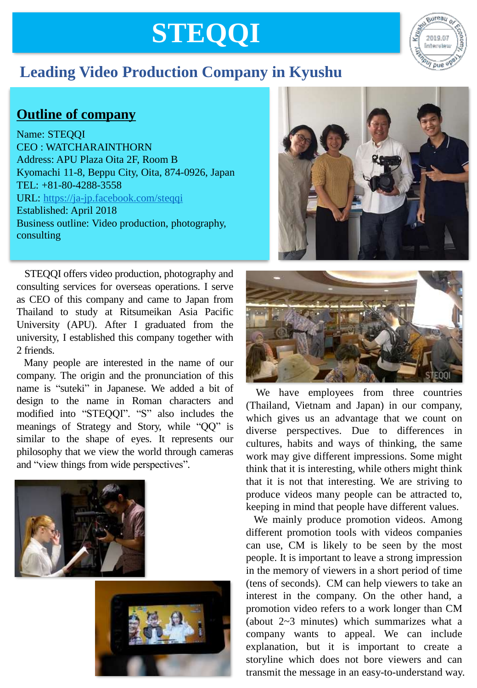# **STEQQI**



## **Leading Video Production Company in Kyushu**

### **Outline of company**

Name: STEQQI CEO : WATCHARAINTHORN Address: APU Plaza Oita 2F, Room B Kyomachi 11-8, Beppu City, Oita, 874-0926, Japan TEL: +81-80-4288-3558 URL: <https://ja-jp.facebook.com/steqqi> Established: April 2018 Business outline: Video production, photography, consulting

STEQQI offers video production, photography and consulting services for overseas operations. I serve as CEO of this company and came to Japan from Thailand to study at Ritsumeikan Asia Pacific University (APU). After I graduated from the university, I established this company together with 2 friends.

Many people are interested in the name of our company. The origin and the pronunciation of this name is "suteki" in Japanese. We added a bit of design to the name in Roman characters and modified into "STEQQI". "S" also includes the meanings of Strategy and Story, while "QQ" is similar to the shape of eyes. It represents our philosophy that we view the world through cameras and "view things from wide perspectives".









We have employees from three countries (Thailand, Vietnam and Japan) in our company, which gives us an advantage that we count on diverse perspectives. Due to differences in cultures, habits and ways of thinking, the same work may give different impressions. Some might think that it is interesting, while others might think that it is not that interesting. We are striving to produce videos many people can be attracted to, keeping in mind that people have different values.

We mainly produce promotion videos. Among different promotion tools with videos companies can use, CM is likely to be seen by the most people. It is important to leave a strong impression in the memory of viewers in a short period of time (tens of seconds). CM can help viewers to take an interest in the company. On the other hand, a promotion video refers to a work longer than CM (about 2~3 minutes) which summarizes what a company wants to appeal. We can include explanation, but it is important to create a storyline which does not bore viewers and can transmit the message in an easy-to-understand way.